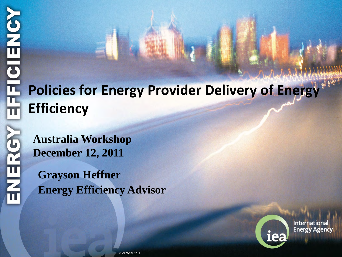# **Policies for Energy Provider Delivery of Energy Efficiency**

**Australia Workshop December 12, 2011** 

**Grayson Heffner Energy Efficiency Advisor**



**International Energy Agency**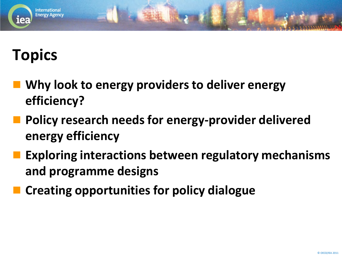# **Topics**

**International Energy Agency** 

- **Why look to energy providers to deliver energy efficiency?**
- **Policy research needs for energy-provider delivered energy efficiency**
- **Exploring interactions between regulatory mechanisms and programme designs**
- **Creating opportunities for policy dialogue**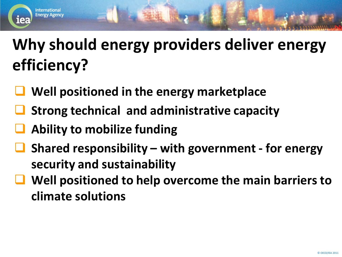# **Why should energy providers deliver energy efficiency?**

- **Well positioned in the energy marketplace**
- **Strong technical and administrative capacity**
- **Ability to mobilize funding**

Internationa **Energy Agency** 

**Tea** 

- **Shared responsibility with government for energy security and sustainability**
- **Well positioned to help overcome the main barriers to climate solutions**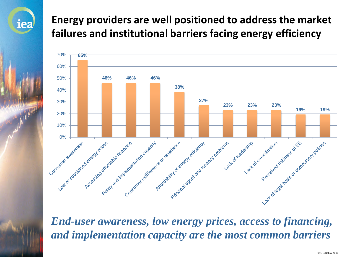#### **Energy providers are well positioned to address the market failures and institutional barriers facing energy efficiency**

iea



*End-user awareness, low energy prices, access to financing, and implementation capacity are the most common barriers*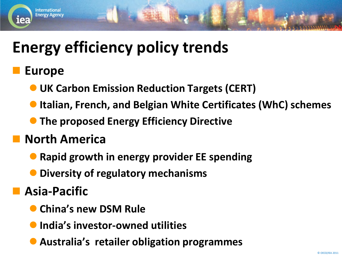## **Energy efficiency policy trends**

#### **Europe**

Internationa **Energy Agency** 

- **UK Carbon Emission Reduction Targets (CERT)**
- **Italian, French, and Belgian White Certificates (WhC) schemes**
- **The proposed Energy Efficiency Directive**

#### **North America**

- **Rapid growth in energy provider EE spending**
- **Diversity of regulatory mechanisms**

#### **Asia-Pacific**

- **China's new DSM Rule**
- **India's investor-owned utilities**
- **Australia's retailer obligation programmes**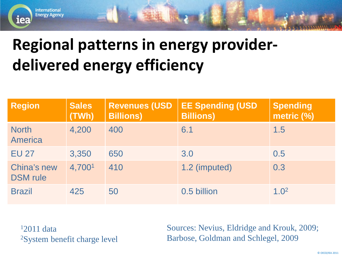# **Regional patterns in energy providerdelivered energy efficiency**

| <b>Region</b>                         | <b>Sales</b><br>(TWh) | <b>Revenues (USD)</b><br><b>Billions)</b> | <b>EE Spending (USD</b><br><b>Billions)</b> | <b>Spending</b><br>metric (%) |
|---------------------------------------|-----------------------|-------------------------------------------|---------------------------------------------|-------------------------------|
| <b>North</b><br>America               | 4,200                 | 400                                       | 6.1                                         | 1.5                           |
| <b>EU 27</b>                          | 3,350                 | 650                                       | 3.0                                         | 0.5                           |
| <b>China's new</b><br><b>DSM</b> rule | 4,7001                | 410                                       | 1.2 (imputed)                               | 0.3                           |
| <b>Brazil</b>                         | 425                   | 50                                        | 0.5 billion                                 | 1.0 <sup>2</sup>              |

12011 data 2System benefit charge level

**International Energy Agency** 

iea

Sources: Nevius, Eldridge and Krouk, 2009; Barbose, Goldman and Schlegel, 2009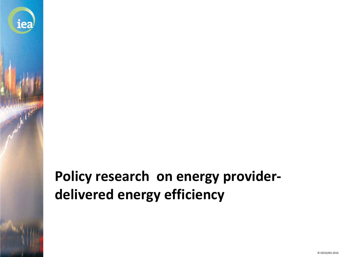## **Policy research on energy providerdelivered energy efficiency**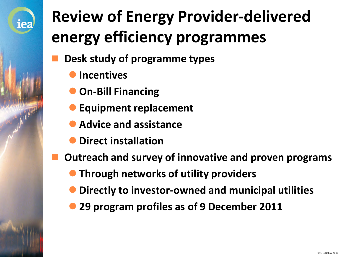

# **Review of Energy Provider-delivered energy efficiency programmes**

- **Desk study of programme types**
	- **Incentives**
	- **On-Bill Financing**
	- **Equipment replacement**
	- **Advice and assistance**
	- **Direct installation**
- **Outreach and survey of innovative and proven programs**
	- **Through networks of utility providers**
	- **Directly to investor-owned and municipal utilities**
	- **29 program profiles as of 9 December 2011**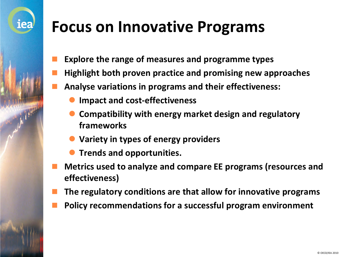## **Focus on Innovative Programs**

- **Explore the range of measures and programme types**
- **Highlight both proven practice and promising new approaches**
- **Analyse variations in programs and their effectiveness:** 
	- **Impact and cost-effectiveness**

- **Compatibility with energy market design and regulatory frameworks**
- **Variety in types of energy providers**
- **Trends and opportunities.**
- **Metrics used to analyze and compare EE programs (resources and effectiveness)**
- **The regulatory conditions are that allow for innovative programs**
- **Policy recommendations for a successful program environment**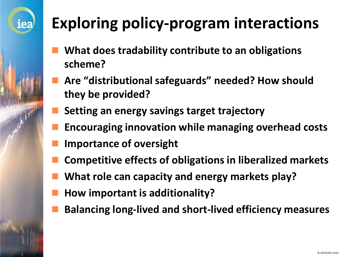# **Exploring policy-program interactions**

- **What does tradability contribute to an obligations scheme?**
- **Are "distributional safeguards" needed? How should they be provided?**
- **Setting an energy savings target trajectory**
- **Encouraging innovation while managing overhead costs**
- **Importance of oversight**

- **Competitive effects of obligations in liberalized markets**
- **What role can capacity and energy markets play?**
- **How important is additionality?**
- **Balancing long-lived and short-lived efficiency measures**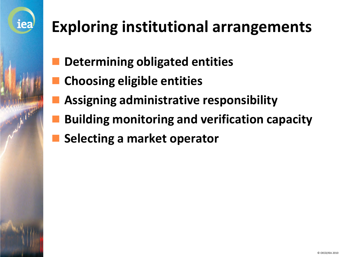# **Exploring institutional arrangements**

- **Determining obligated entities**
- **Choosing eligible entities**

- **Assigning administrative responsibility**
- **Building monitoring and verification capacity**
- **Selecting a market operator**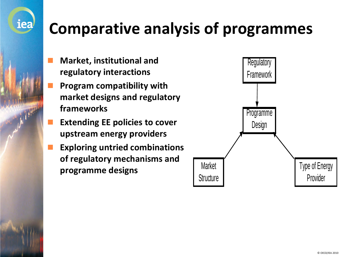# **Comparative analysis of programmes**

 **Market, institutional and regulatory interactions**

- **Program compatibility with market designs and regulatory frameworks**
- **Extending EE policies to cover upstream energy providers**
- **Exploring untried combinations of regulatory mechanisms and programme designs**

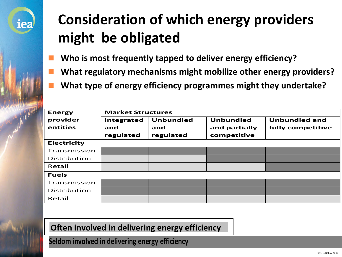

## **Consideration of which energy providers might be obligated**

- **Who is most frequently tapped to deliver energy efficiency?**
- **What regulatory mechanisms might mobilize other energy providers?**
- **What type of energy efficiency programmes might they undertake?**

| <b>Energy</b>      | <b>Market Structures</b> |                  |                  |                      |  |  |
|--------------------|--------------------------|------------------|------------------|----------------------|--|--|
| provider           | Integrated               | <b>Unbundled</b> | <b>Unbundled</b> | <b>Unbundled and</b> |  |  |
| entities           | and                      | and              | and partially    | fully competitive    |  |  |
|                    | regulated                | regulated        | competitive      |                      |  |  |
| <b>Electricity</b> |                          |                  |                  |                      |  |  |
| Transmission       |                          |                  |                  |                      |  |  |
| Distribution       |                          |                  |                  |                      |  |  |
| Retail             |                          |                  |                  |                      |  |  |
| <b>Fuels</b>       |                          |                  |                  |                      |  |  |
| Transmission       |                          |                  |                  |                      |  |  |
| Distribution       |                          |                  |                  |                      |  |  |
| Retail             |                          |                  |                  |                      |  |  |

#### **Often involved in delivering energy efficiency**

**Seldom involved in delivering energy efficiency**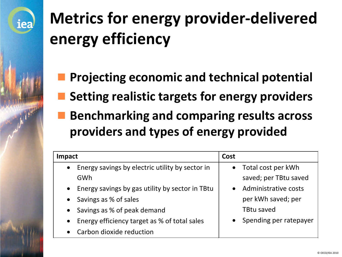# **Metrics for energy provider-delivered energy efficiency**

- **Projecting economic and technical potential**
- **Setting realistic targets for energy providers**
- **Benchmarking and comparing results across providers and types of energy provided**

| Impact                                            | Cost                            |
|---------------------------------------------------|---------------------------------|
| • Energy savings by electric utility by sector in | Total cost per kWh<br>$\bullet$ |
| GWh                                               | saved; per TBtu saved           |
| • Energy savings by gas utility by sector in TBtu | Administrative costs            |
| • Savings as % of sales                           | per kWh saved; per              |
| • Savings as % of peak demand                     | <b>TBtu saved</b>               |
| • Energy efficiency target as % of total sales    | Spending per ratepayer          |
| Carbon dioxide reduction<br>$\bullet$             |                                 |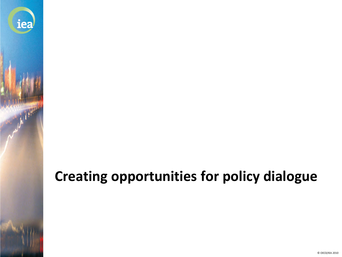#### **Creating opportunities for policy dialogue**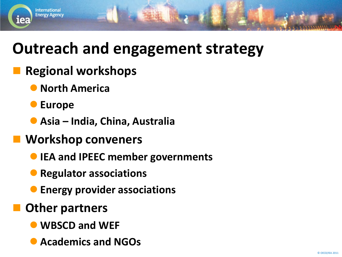## **Outreach and engagement strategy**

#### **Regional workshops**

- **North America**
- **Europe**

**International Energy Agency** 

lea

- **Asia India, China, Australia**
- **Workshop conveners**
	- **IEA and IPEEC member governments**
	- **Regulator associations**
	- **Energy provider associations**
	- **Other partners**
		- **WBSCD and WEF**
		- **Academics and NGOs**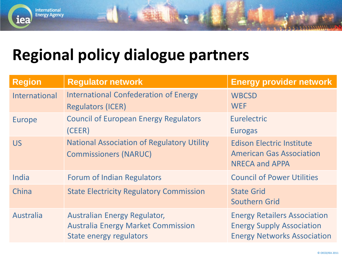#### **Regional policy dialogue partners**

| <b>Region</b>        | <b>Regulator network</b>                                                                             | <b>Energy provider network</b>                                                                                |
|----------------------|------------------------------------------------------------------------------------------------------|---------------------------------------------------------------------------------------------------------------|
| <b>International</b> | <b>International Confederation of Energy</b><br><b>Regulators (ICER)</b>                             | <b>WBCSD</b><br><b>WEF</b>                                                                                    |
| Europe               | <b>Council of European Energy Regulators</b><br>(CEER)                                               | Eurelectric<br><b>Eurogas</b>                                                                                 |
| <b>US</b>            | <b>National Association of Regulatory Utility</b><br><b>Commissioners (NARUC)</b>                    | <b>Edison Electric Institute</b><br><b>American Gas Association</b><br><b>NRECA and APPA</b>                  |
| India                | <b>Forum of Indian Regulators</b>                                                                    | <b>Council of Power Utilities</b>                                                                             |
| China                | <b>State Electricity Regulatory Commission</b>                                                       | <b>State Grid</b><br><b>Southern Grid</b>                                                                     |
| <b>Australia</b>     | Australian Energy Regulator,<br><b>Australia Energy Market Commission</b><br>State energy regulators | <b>Energy Retailers Association</b><br><b>Energy Supply Association</b><br><b>Energy Networks Association</b> |